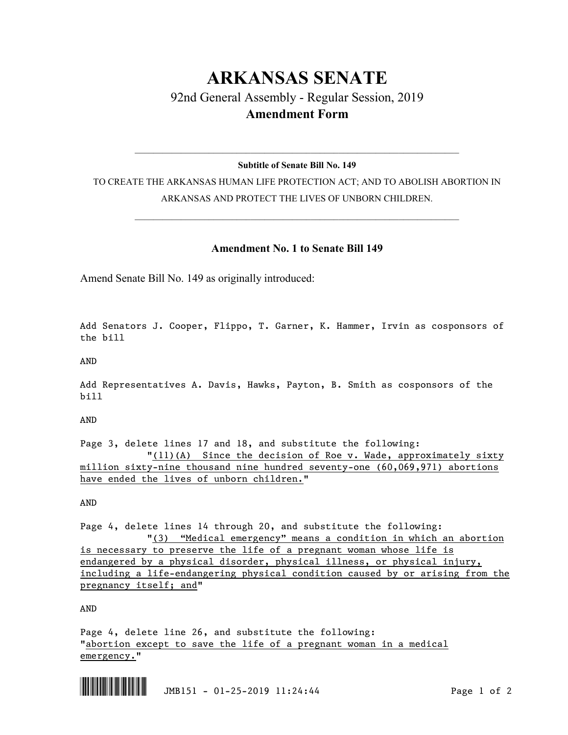## **ARKANSAS SENATE** 92nd General Assembly - Regular Session, 2019 **Amendment Form**

## $\_$  , and the set of the set of the set of the set of the set of the set of the set of the set of the set of the set of the set of the set of the set of the set of the set of the set of the set of the set of the set of th **Subtitle of Senate Bill No. 149**

TO CREATE THE ARKANSAS HUMAN LIFE PROTECTION ACT; AND TO ABOLISH ABORTION IN ARKANSAS AND PROTECT THE LIVES OF UNBORN CHILDREN.

 $\_$  , and the set of the set of the set of the set of the set of the set of the set of the set of the set of the set of the set of the set of the set of the set of the set of the set of the set of the set of the set of th

## **Amendment No. 1 to Senate Bill 149**

Amend Senate Bill No. 149 as originally introduced:

Add Senators J. Cooper, Flippo, T. Garner, K. Hammer, Irvin as cosponsors of the bill

AND

Add Representatives A. Davis, Hawks, Payton, B. Smith as cosponsors of the bill

AND

Page 3, delete lines 17 and 18, and substitute the following:  $\frac{1}{11}(11)(A)$  Since the decision of Roe v. Wade, approximately sixty million sixty-nine thousand nine hundred seventy-one (60,069,971) abortions have ended the lives of unborn children."

AND

Page 4, delete lines 14 through 20, and substitute the following: "(3) "Medical emergency" means a condition in which an abortion is necessary to preserve the life of a pregnant woman whose life is endangered by a physical disorder, physical illness, or physical injury, including a life-endangering physical condition caused by or arising from the pregnancy itself; and"

AND

Page 4, delete line 26, and substitute the following: "abortion except to save the life of a pregnant woman in a medical emergency."



 $\begin{array}{|c|c|c|c|c|c|c|c|c|}\hline \multicolumn{3}{|c|}{\text{\large\bf{1}}} & \multicolumn{3}{|c|}{\text{\large\bf{1}}} & \multicolumn{3}{|c|}{\text{\large\bf{1}}} & \multicolumn{3}{|c|}{\text{\large\bf{1}}} & \multicolumn{3}{|c|}{\text{\large\bf{1}}} & \multicolumn{3}{|c|}{\text{\large\bf{1}}} & \multicolumn{3}{|c|}{\text{\large\bf{1}}} & \multicolumn{3}{|c|}{\text{\large\bf{1}}} & \multicolumn{3}{|c|}{\text{\large\bf{1}}} & \multicolumn$